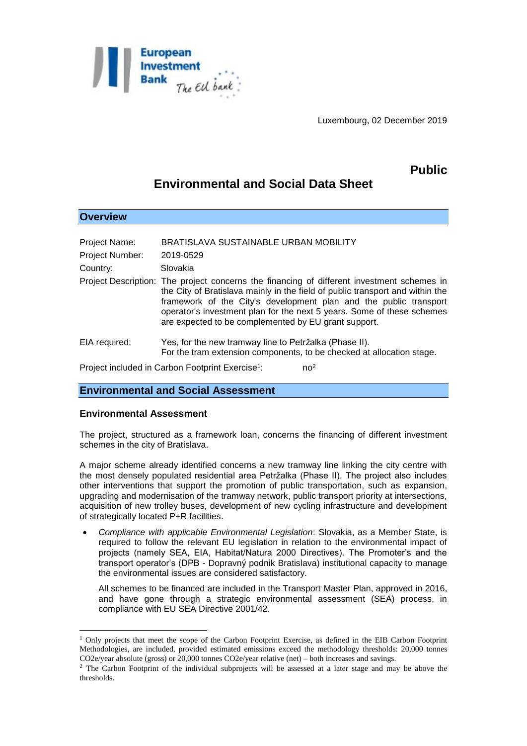

Luxembourg, 02 December 2019

# **Public**

# **Environmental and Social Data Sheet**

| <b>Overview</b>                                                                 |                                                                                                                                                                                                                                                                                                                                                                                    |  |
|---------------------------------------------------------------------------------|------------------------------------------------------------------------------------------------------------------------------------------------------------------------------------------------------------------------------------------------------------------------------------------------------------------------------------------------------------------------------------|--|
|                                                                                 |                                                                                                                                                                                                                                                                                                                                                                                    |  |
| <b>Project Name:</b>                                                            | BRATISLAVA SUSTAINABLE URBAN MOBILITY                                                                                                                                                                                                                                                                                                                                              |  |
| Project Number:                                                                 | 2019-0529                                                                                                                                                                                                                                                                                                                                                                          |  |
| Country:                                                                        | Slovakia                                                                                                                                                                                                                                                                                                                                                                           |  |
|                                                                                 | Project Description: The project concerns the financing of different investment schemes in<br>the City of Bratislava mainly in the field of public transport and within the<br>framework of the City's development plan and the public transport<br>operator's investment plan for the next 5 years. Some of these schemes<br>are expected to be complemented by EU grant support. |  |
| EIA required:                                                                   | Yes, for the new tramway line to Petržalka (Phase II).<br>For the tram extension components, to be checked at allocation stage.                                                                                                                                                                                                                                                    |  |
| Project included in Carbon Footprint Exercise <sup>1</sup> :<br>no <sup>2</sup> |                                                                                                                                                                                                                                                                                                                                                                                    |  |

## **Environmental and Social Assessment**

### **Environmental Assessment**

1

The project, structured as a framework loan, concerns the financing of different investment schemes in the city of Bratislava.

A major scheme already identified concerns a new tramway line linking the city centre with the most densely populated residential area Petržalka (Phase II). The project also includes other interventions that support the promotion of public transportation, such as expansion, upgrading and modernisation of the tramway network, public transport priority at intersections, acquisition of new trolley buses, development of new cycling infrastructure and development of strategically located P+R facilities.

 *Compliance with applicable Environmental Legislation*: Slovakia, as a Member State, is required to follow the relevant EU legislation in relation to the environmental impact of projects (namely SEA, EIA, Habitat/Natura 2000 Directives). The Promoter's and the transport operator's (DPB - Dopravný podnik Bratislava) institutional capacity to manage the environmental issues are considered satisfactory.

All schemes to be financed are included in the Transport Master Plan, approved in 2016, and have gone through a strategic environmental assessment (SEA) process, in compliance with EU SEA Directive 2001/42.

 $1$  Only projects that meet the scope of the Carbon Footprint Exercise, as defined in the EIB Carbon Footprint Methodologies, are included, provided estimated emissions exceed the methodology thresholds: 20,000 tonnes CO2e/year absolute (gross) or 20,000 tonnes CO2e/year relative (net) – both increases and savings.

<sup>&</sup>lt;sup>2</sup> The Carbon Footprint of the individual subprojects will be assessed at a later stage and may be above the thresholds.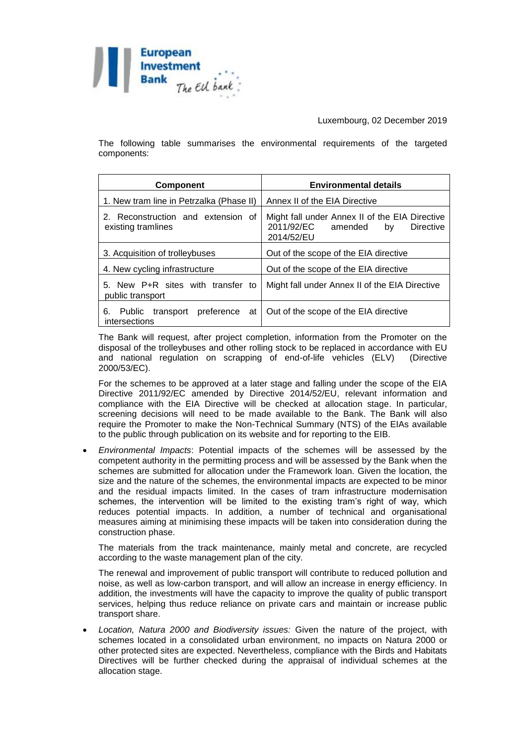

Luxembourg, 02 December 2019

The following table summarises the environmental requirements of the targeted components:

| <b>Component</b>                                         | <b>Environmental details</b>                                                                             |
|----------------------------------------------------------|----------------------------------------------------------------------------------------------------------|
| 1. New tram line in Petrzalka (Phase II)                 | Annex II of the EIA Directive                                                                            |
| 2. Reconstruction and extension of<br>existing tramlines | Might fall under Annex II of the EIA Directive<br>2011/92/EC<br>amended<br>Directive<br>by<br>2014/52/EU |
| 3. Acquisition of trolleybuses                           | Out of the scope of the EIA directive                                                                    |
| 4. New cycling infrastructure                            | Out of the scope of the EIA directive                                                                    |
| 5. New P+R sites with transfer to<br>public transport    | Might fall under Annex II of the EIA Directive                                                           |
| transport preference at<br>6.<br>Public<br>intersections | Out of the scope of the EIA directive                                                                    |

The Bank will request, after project completion, information from the Promoter on the disposal of the trolleybuses and other rolling stock to be replaced in accordance with EU and national regulation on scrapping of end-of-life vehicles (ELV) (Directive 2000/53/EC).

For the schemes to be approved at a later stage and falling under the scope of the EIA Directive 2011/92/EC amended by Directive 2014/52/EU, relevant information and compliance with the EIA Directive will be checked at allocation stage. In particular, screening decisions will need to be made available to the Bank. The Bank will also require the Promoter to make the Non-Technical Summary (NTS) of the EIAs available to the public through publication on its website and for reporting to the EIB.

 *Environmental Impacts*: Potential impacts of the schemes will be assessed by the competent authority in the permitting process and will be assessed by the Bank when the schemes are submitted for allocation under the Framework loan. Given the location, the size and the nature of the schemes, the environmental impacts are expected to be minor and the residual impacts limited. In the cases of tram infrastructure modernisation schemes, the intervention will be limited to the existing tram's right of way, which reduces potential impacts. In addition, a number of technical and organisational measures aiming at minimising these impacts will be taken into consideration during the construction phase.

The materials from the track maintenance, mainly metal and concrete, are recycled according to the waste management plan of the city.

The renewal and improvement of public transport will contribute to reduced pollution and noise, as well as low-carbon transport, and will allow an increase in energy efficiency. In addition, the investments will have the capacity to improve the quality of public transport services, helping thus reduce reliance on private cars and maintain or increase public transport share.

 *Location, Natura 2000 and Biodiversity issues:* Given the nature of the project, with schemes located in a consolidated urban environment, no impacts on Natura 2000 or other protected sites are expected. Nevertheless, compliance with the Birds and Habitats Directives will be further checked during the appraisal of individual schemes at the allocation stage.